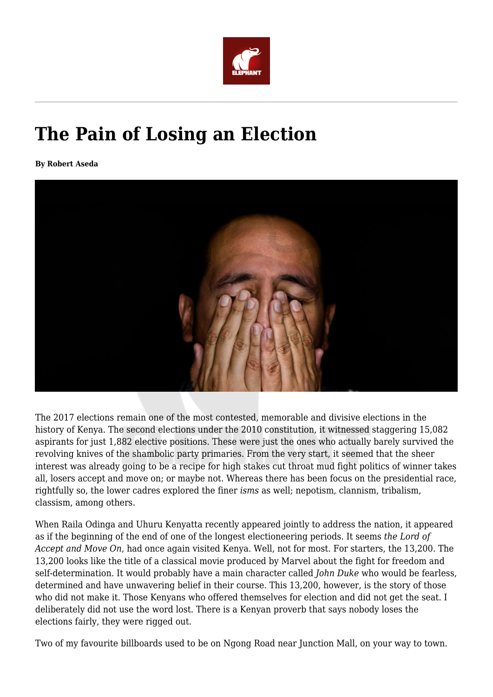

## **The Pain of Losing an Election**

**By Robert Aseda**



The 2017 elections remain one of the most contested, memorable and divisive elections in the history of Kenya. The second elections under the 2010 constitution, it witnessed staggering 15,082 aspirants for just 1,882 elective positions. These were just the ones who actually barely survived the revolving knives of the shambolic party primaries. From the very start, it seemed that the sheer interest was already going to be a recipe for high stakes cut throat mud fight politics of winner takes all, losers accept and move on; or maybe not. Whereas there has been focus on the presidential race, rightfully so, the lower cadres explored the finer *isms* as well; nepotism, clannism, tribalism, classism, among others.

When Raila Odinga and Uhuru Kenyatta recently appeared jointly to address the nation, it appeared as if the beginning of the end of one of the longest electioneering periods. It seems *the Lord of Accept and Move On*, had once again visited Kenya. Well, not for most. For starters, the 13,200. The 13,200 looks like the title of a classical movie produced by Marvel about the fight for freedom and self-determination. It would probably have a main character called *John Duke* who would be fearless, determined and have unwavering belief in their course. This 13,200, however, is the story of those who did not make it. Those Kenyans who offered themselves for election and did not get the seat. I deliberately did not use the word lost. There is a Kenyan proverb that says nobody loses the elections fairly, they were rigged out.

Two of my favourite billboards used to be on Ngong Road near Junction Mall, on your way to town.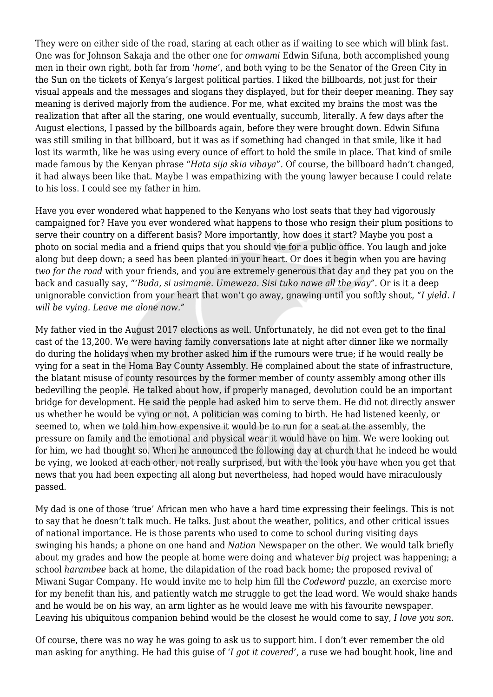They were on either side of the road, staring at each other as if waiting to see which will blink fast. One was for Johnson Sakaja and the other one for *omwami* Edwin Sifuna, both accomplished young men in their own right, both far from '*home*', and both vying to be the Senator of the Green City in the Sun on the tickets of Kenya's largest political parties. I liked the billboards, not just for their visual appeals and the messages and slogans they displayed, but for their deeper meaning. They say meaning is derived majorly from the audience. For me, what excited my brains the most was the realization that after all the staring, one would eventually, succumb, literally. A few days after the August elections, I passed by the billboards again, before they were brought down. Edwin Sifuna was still smiling in that billboard, but it was as if something had changed in that smile, like it had lost its warmth, like he was using every ounce of effort to hold the smile in place. That kind of smile made famous by the Kenyan phrase "*Hata sija skia vibaya*". Of course, the billboard hadn't changed, it had always been like that. Maybe I was empathizing with the young lawyer because I could relate to his loss. I could see my father in him.

Have you ever wondered what happened to the Kenyans who lost seats that they had vigorously campaigned for? Have you ever wondered what happens to those who resign their plum positions to serve their country on a different basis? More importantly, how does it start? Maybe you post a photo on social media and a friend quips that you should vie for a public office. You laugh and joke along but deep down; a seed has been planted in your heart. Or does it begin when you are having *two for the road* with your friends, and you are extremely generous that day and they pat you on the back and casually say, *"'Buda, si usimame. Umeweza. Sisi tuko nawe all the way".* Or is it a deep unignorable conviction from your heart that won't go away, gnawing until you softly shout, *"I yield. I will be vying. Leave me alone now."*

My father vied in the August 2017 elections as well. Unfortunately, he did not even get to the final cast of the 13,200. We were having family conversations late at night after dinner like we normally do during the holidays when my brother asked him if the rumours were true; if he would really be vying for a seat in the Homa Bay County Assembly. He complained about the state of infrastructure, the blatant misuse of county resources by the former member of county assembly among other ills bedevilling the people. He talked about how, if properly managed, devolution could be an important bridge for development. He said the people had asked him to serve them. He did not directly answer us whether he would be vying or not. A politician was coming to birth. He had listened keenly, or seemed to, when we told him how expensive it would be to run for a seat at the assembly, the pressure on family and the emotional and physical wear it would have on him. We were looking out for him, we had thought so. When he announced the following day at church that he indeed he would be vying, we looked at each other, not really surprised, but with the look you have when you get that news that you had been expecting all along but nevertheless, had hoped would have miraculously passed.

My dad is one of those 'true' African men who have a hard time expressing their feelings. This is not to say that he doesn't talk much. He talks. Just about the weather, politics, and other critical issues of national importance. He is those parents who used to come to school during visiting days swinging his hands; a phone on one hand and *Nation* Newspaper on the other. We would talk briefly about my grades and how the people at home were doing and whatever *big* project was happening; a school *harambee* back at home, the dilapidation of the road back home; the proposed revival of Miwani Sugar Company. He would invite me to help him fill the *Codeword* puzzle, an exercise more for my benefit than his, and patiently watch me struggle to get the lead word. We would shake hands and he would be on his way, an arm lighter as he would leave me with his favourite newspaper. Leaving his ubiquitous companion behind would be the closest he would come to say, *I love you son*.

Of course, there was no way he was going to ask us to support him. I don't ever remember the old man asking for anything. He had this guise of '*I got it covered',* a ruse we had bought hook, line and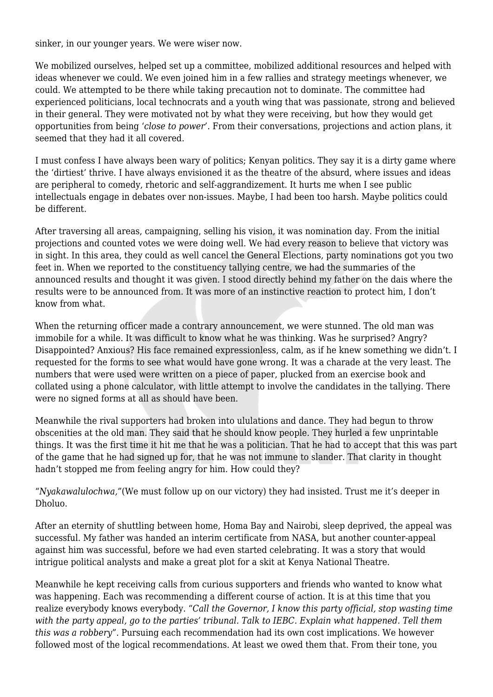sinker, in our younger years. We were wiser now.

We mobilized ourselves, helped set up a committee, mobilized additional resources and helped with ideas whenever we could. We even joined him in a few rallies and strategy meetings whenever, we could. We attempted to be there while taking precaution not to dominate. The committee had experienced politicians, local technocrats and a youth wing that was passionate, strong and believed in their general. They were motivated not by what they were receiving, but how they would get opportunities from being '*close to power'.* From their conversations, projections and action plans, it seemed that they had it all covered.

I must confess I have always been wary of politics; Kenyan politics. They say it is a dirty game where the 'dirtiest' thrive. I have always envisioned it as the theatre of the absurd, where issues and ideas are peripheral to comedy, rhetoric and self-aggrandizement. It hurts me when I see public intellectuals engage in debates over non-issues. Maybe, I had been too harsh. Maybe politics could be different.

After traversing all areas, campaigning, selling his vision, it was nomination day. From the initial projections and counted votes we were doing well. We had every reason to believe that victory was in sight. In this area, they could as well cancel the General Elections, party nominations got you two feet in. When we reported to the constituency tallying centre, we had the summaries of the announced results and thought it was given. I stood directly behind my father on the dais where the results were to be announced from. It was more of an instinctive reaction to protect him, I don't know from what.

When the returning officer made a contrary announcement, we were stunned. The old man was immobile for a while. It was difficult to know what he was thinking. Was he surprised? Angry? Disappointed? Anxious? His face remained expressionless, calm, as if he knew something we didn't. I requested for the forms to see what would have gone wrong. It was a charade at the very least. The numbers that were used were written on a piece of paper, plucked from an exercise book and collated using a phone calculator, with little attempt to involve the candidates in the tallying. There were no signed forms at all as should have been.

Meanwhile the rival supporters had broken into ululations and dance. They had begun to throw obscenities at the old man. They said that he should know people. They hurled a few unprintable things. It was the first time it hit me that he was a politician. That he had to accept that this was part of the game that he had signed up for, that he was not immune to slander. That clarity in thought hadn't stopped me from feeling angry for him. How could they?

"*Nyakawalulochwa,"*(We must follow up on our victory) they had insisted. Trust me it's deeper in Dholuo.

After an eternity of shuttling between home, Homa Bay and Nairobi, sleep deprived, the appeal was successful. My father was handed an interim certificate from NASA, but another counter-appeal against him was successful, before we had even started celebrating. It was a story that would intrigue political analysts and make a great plot for a skit at Kenya National Theatre.

Meanwhile he kept receiving calls from curious supporters and friends who wanted to know what was happening. Each was recommending a different course of action. It is at this time that you realize everybody knows everybody. "*Call the Governor, I know this party official, stop wasting time with the party appeal, go to the parties' tribunal. Talk to IEBC. Explain what happened. Tell them this was a robbery*". Pursuing each recommendation had its own cost implications. We however followed most of the logical recommendations. At least we owed them that. From their tone, you